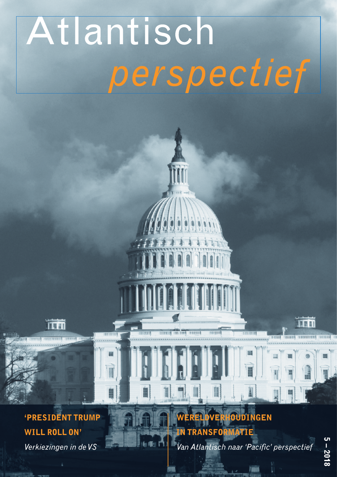# Atlantisch perspectief

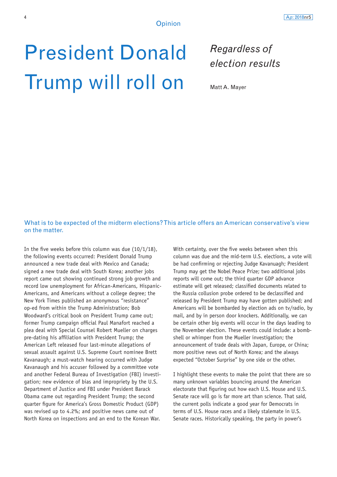## President Donald Trump will roll on

*Regardless of election results*

Matt A. Mayer

### What is to be expected of the midterm elections? This article offers an American conservative's view on the matter.

In the five weeks before this column was due (10/1/18), the following events occurred: President Donald Trump announced a new trade deal with Mexico and Canada; signed a new trade deal with South Korea; another jobs report came out showing continued strong job growth and record low unemployment for African-Americans, Hispanic-Americans, and Americans without a college degree; the New York Times published an anonymous "resistance" op-ed from within the Trump Administration; Bob Woodward's critical book on President Trump came out; former Trump campaign official Paul Manafort reached a plea deal with Special Counsel Robert Mueller on charges pre-dating his affiliation with President Trump; the American Left released four last-minute allegations of sexual assault against U.S. Supreme Court nominee Brett Kavanaugh; a must-watch hearing occurred with Judge Kavanaugh and his accuser followed by a committee vote and another Federal Bureau of Investigation (FBI) investigation; new evidence of bias and impropriety by the U.S. Department of Justice and FBI under President Barack Obama came out regarding President Trump; the second quarter figure for America's Gross Domestic Product (GDP) was revised up to 4.2%; and positive news came out of North Korea on inspections and an end to the Korean War.

With certainty, over the five weeks between when this column was due and the mid-term U.S. elections, a vote will be had confirming or rejecting Judge Kavanuagh; President Trump may get the Nobel Peace Prize; two additional jobs reports will come out; the third quarter GDP advance estimate will get released; classified documents related to the Russia collusion probe ordered to be declassified and released by President Trump may have gotten published; and Americans will be bombarded by election ads on tv/radio, by mail, and by in person door knockers. Additionally, we can be certain other big events will occur in the days leading to the November election. These events could include: a bombshell or whimper from the Mueller investigation; the announcement of trade deals with Japan, Europe, or China; more positive news out of North Korea; and the always expected "October Surprise" by one side or the other.

I highlight these events to make the point that there are so many unknown variables bouncing around the American electorate that figuring out how each U.S. House and U.S. Senate race will go is far more art than science. That said, the current polls indicate a good year for Democrats in terms of U.S. House races and a likely stalemate in U.S. Senate races. Historically speaking, the party in power's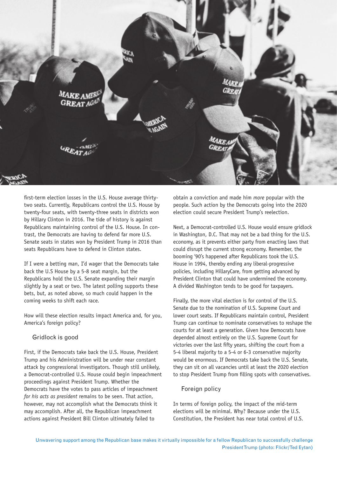

first-term election losses in the U.S. House average thirtytwo seats. Currently, Republicans control the U.S. House by twenty-four seats, with twenty-three seats in districts won by Hillary Clinton in 2016. The tide of history is against Republicans maintaining control of the U.S. House. In contrast, the Democrats are having to defend far more U.S. Senate seats in states won by President Trump in 2016 than seats Republicans have to defend in Clinton states.

If I were a betting man, I'd wager that the Democrats take back the U.S House by a 5-8 seat margin, but the Republicans hold the U.S. Senate expanding their margin slightly by a seat or two. The latest polling supports these bets, but, as noted above, so much could happen in the coming weeks to shift each race.

How will these election results impact America and, for you, America's foreign policy?

#### Gridlock is good

First, if the Democrats take back the U.S. House, President Trump and his Administration will be under near constant attack by congressional investigators. Though still unlikely, a Democrat-controlled U.S. House could begin impeachment proceedings against President Trump. Whether the Democrats have the votes to pass articles of impeachment *for his acts as president* remains to be seen. That action, however, may not accomplish what the Democrats think it may accomplish. After all, the Republican impeachment actions against President Bill Clinton ultimately failed to

obtain a conviction and made him *more* popular with the people. Such action by the Democrats going into the 2020 election could secure President Trump's reelection.

Next, a Democrat-controlled U.S. House would ensure gridlock in Washington, D.C. That may not be a bad thing for the U.S. economy, as it prevents either party from enacting laws that could disrupt the current strong economy. Remember, the booming '90's happened after Republicans took the U.S. House in 1994, thereby ending any liberal-progressive policies, including HillaryCare, from getting advanced by President Clinton that could have undermined the economy. A divided Washington tends to be good for taxpayers.

Finally, the more vital election is for control of the U.S. Senate due to the nomination of U.S. Supreme Court and lower court seats. If Republicans maintain control, President Trump can continue to nominate conservatives to reshape the courts for at least a generation. Given how Democrats have depended almost entirely on the U.S. Supreme Court for victories over the last fifty years, shifting the court from a 5-4 liberal majority to a 5-4 or 6-3 conservative majority would be enormous. If Democrats take back the U.S. Senate, they can sit on all vacancies until at least the 2020 election to stop President Trump from filling spots with conservatives.

#### Foreign policy

In terms of foreign policy, the impact of the mid-term elections will be minimal. Why? Because under the U.S. Constitution, the President has near total control of U.S.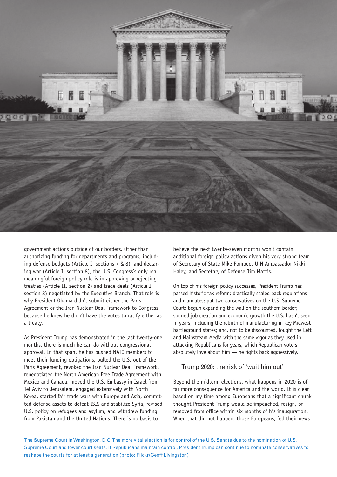

government actions outside of our borders. Other than authorizing funding for departments and programs, including defense budgets (Article I, sections 7 & 8), and declaring war (Article I, section 8), the U.S. Congress's only real meaningful foreign policy role is in approving or rejecting treaties (Article II, section 2) and trade deals (Article I, section 8) negotiated by the Executive Branch. That role is why President Obama didn't submit either the Paris Agreement or the Iran Nuclear Deal Framework to Congress because he knew he didn't have the votes to ratify either as a treaty.

As President Trump has demonstrated in the last twenty-one months, there is much he can do without congressional approval. In that span, he has pushed NATO members to meet their funding obligations, pulled the U.S. out of the Paris Agreement, revoked the Iran Nuclear Deal Framework, renegotiated the North American Free Trade Agreement with Mexico and Canada, moved the U.S. Embassy in Israel from Tel Aviv to Jerusalem, engaged extensively with North Korea, started fair trade wars with Europe and Asia, committed defense assets to defeat ISIS and stabilize Syria, revised U.S. policy on refugees and asylum, and withdrew funding from Pakistan and the United Nations. There is no basis to

believe the next twenty-seven months won't contain additional foreign policy actions given his very strong team of Secretary of State Mike Pompeo, U.N Ambassador Nikki Haley, and Secretary of Defense Jim Mattis.

On top of his foreign policy successes, President Trump has passed historic tax reform; drastically scaled back regulations and mandates; put two conservatives on the U.S. Supreme Court; begun expanding the wall on the southern border; spurred job creation and economic growth the U.S. hasn't seen in years, including the rebirth of manufacturing in key Midwest battleground states; and, not to be discounted, fought the Left and Mainstream Media with the same vigor as they used in attacking Republicans for years, which Republican voters absolutely love about him — he fights back aggressively.

#### Trump 2020: the risk of 'wait him out'

Beyond the midterm elections, what happens in 2020 is of far more consequence for America and the world. It is clear based on my time among Europeans that a significant chunk thought President Trump would be impeached, resign, or removed from office within six months of his inauguration. When that did not happen, those Europeans, fed their news

The Supreme Court in Washington, D.C. The more vital election is for control of the U.S. Senate due to the nomination of U.S. Supreme Court and lower court seats. If Republicans maintain control, President Trump can continue to nominate conservatives to reshape the courts for at least a generation (photo: Flickr/Geoff Livingston)